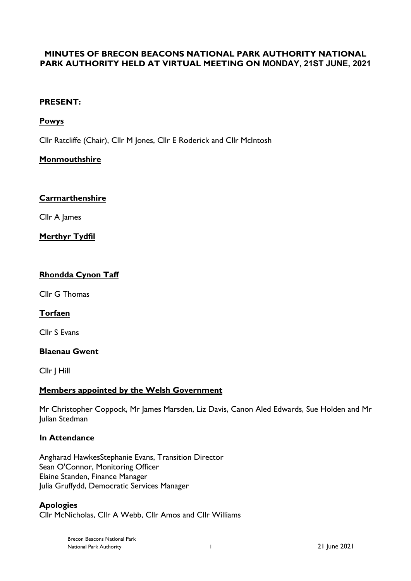# **MINUTES OF BRECON BEACONS NATIONAL PARK AUTHORITY NATIONAL PARK AUTHORITY HELD AT VIRTUAL MEETING ON MONDAY, 21ST JUNE, 2021**

## **PRESENT:**

# **Powys**

Cllr Ratcliffe (Chair), Cllr M Jones, Cllr E Roderick and Cllr McIntosh

# **Monmouthshire**

## **Carmarthenshire**

Cllr A James

### **Merthyr Tydfil**

## **Rhondda Cynon Taff**

Cllr G Thomas

## **Torfaen**

Cllr S Evans

#### **Blaenau Gwent**

Cllr J Hill

## **Members appointed by the Welsh Government**

Mr Christopher Coppock, Mr James Marsden, Liz Davis, Canon Aled Edwards, Sue Holden and Mr Julian Stedman

## **In Attendance**

Angharad HawkesStephanie Evans, Transition Director Sean O'Connor, Monitoring Officer Elaine Standen, Finance Manager Julia Gruffydd, Democratic Services Manager

**Apologies** Cllr McNicholas, Cllr A Webb, Cllr Amos and Cllr Williams

> Brecon Beacons National Park National Park Authority 1 21 June 2021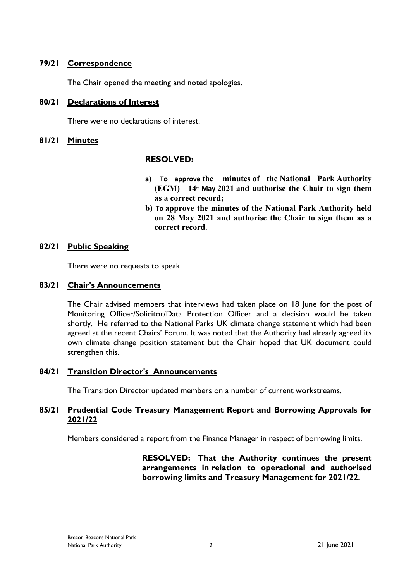## **79/21 Correspondence**

The Chair opened the meeting and noted apologies.

### **80/21 Declarations of Interest**

There were no declarations of interest.

### **81/21 Minutes**

### **RESOLVED:**

- **a) To approve the minutes of the National Park Authority (EGM) – 14th May 2021 and authorise the Chair to sign them as a correct record;**
- **b) To approve the minutes of the National Park Authority held on 28 May 2021 and authorise the Chair to sign them as a correct record.**

### **82/21 Public Speaking**

There were no requests to speak.

#### **83/21 Chair's Announcements**

The Chair advised members that interviews had taken place on 18 June for the post of Monitoring Officer/Solicitor/Data Protection Officer and a decision would be taken shortly. He referred to the National Parks UK climate change statement which had been agreed at the recent Chairs' Forum. It was noted that the Authority had already agreed its own climate change position statement but the Chair hoped that UK document could strengthen this.

## **84/21 Transition Director's Announcements**

The Transition Director updated members on a number of current workstreams.

### **85/21 Prudential Code Treasury Management Report and Borrowing Approvals for 2021/22**

Members considered a report from the Finance Manager in respect of borrowing limits.

**RESOLVED: That the Authority continues the present arrangements in relation to operational and authorised borrowing limits and Treasury Management for 2021/22.**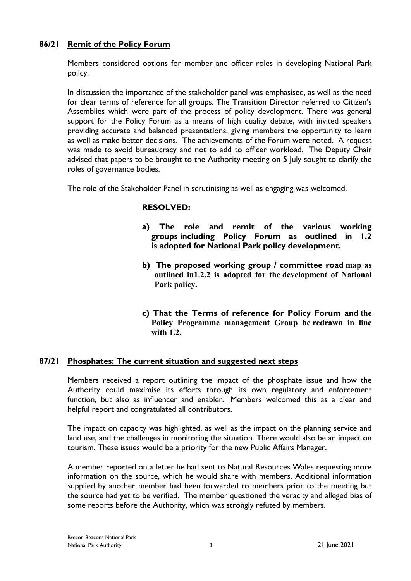## **86/21 Remit of the Policy Forum**

Members considered options for member and officer roles in developing National Park policy.

In discussion the importance of the stakeholder panel was emphasised, as well as the need for clear terms of reference for all groups. The Transition Director referred to Citizen's Assemblies which were part of the process of policy development. There was general support for the Policy Forum as a means of high quality debate, with invited speakers providing accurate and balanced presentations, giving members the opportunity to learn as well as make better decisions. The achievements of the Forum were noted. A request was made to avoid bureaucracy and not to add to officer workload. The Deputy Chair advised that papers to be brought to the Authority meeting on 5 July sought to clarify the roles of governance bodies.

The role of the Stakeholder Panel in scrutinising as well as engaging was welcomed.

## **RESOLVED:**

- **a) The role and remit of the various working groups including Policy Forum as outlined in 1.2 is adopted for National Park policy development.**
- **b) The proposed working group / committee road map as outlined in1.2.2 is adopted for the development of National Park policy.**
- **c) That the Terms of reference for Policy Forum and the Policy Programme management Group be redrawn in line with 1.2.**

## **87/21 Phosphates: The current situation and suggested next steps**

Members received a report outlining the impact of the phosphate issue and how the Authority could maximise its efforts through its own regulatory and enforcement function, but also as influencer and enabler. Members welcomed this as a clear and helpful report and congratulated all contributors.

The impact on capacity was highlighted, as well as the impact on the planning service and land use, and the challenges in monitoring the situation. There would also be an impact on tourism. These issues would be a priority for the new Public Affairs Manager.

A member reported on a letter he had sent to Natural Resources Wales requesting more information on the source, which he would share with members. Additional information supplied by another member had been forwarded to members prior to the meeting but the source had yet to be verified. The member questioned the veracity and alleged bias of some reports before the Authority, which was strongly refuted by members.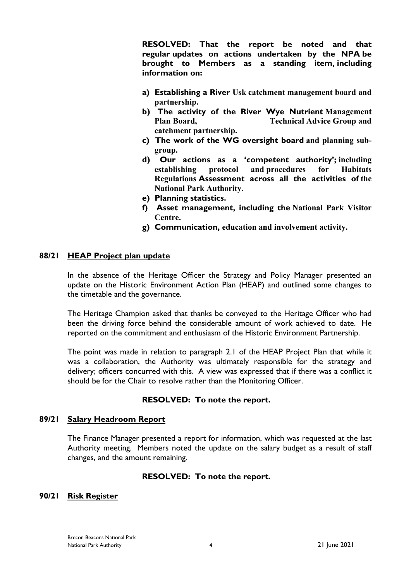**RESOLVED: That the report be noted and that regular updates on actions undertaken by the NPA be brought to Members as a standing item, including information on:**

- **a) Establishing a River Usk catchment management board and partnership.**
- **b) The activity of the River Wye Nutrient Management Plan Board, Technical Advice Group and catchment partnership.**
- **c) The work of the WG oversight board and planning subgroup.**
- **d) Our actions as a 'competent authority'; including establishing protocol and procedures for Habitats Regulations Assessment across all the activities of the National Park Authority.**
- **e) Planning statistics.**
- **f) Asset management, including the National Park Visitor Centre.**
- **g) Communication, education and involvement activity.**

### **88/21 HEAP Project plan update**

In the absence of the Heritage Officer the Strategy and Policy Manager presented an update on the Historic Environment Action Plan (HEAP) and outlined some changes to the timetable and the governance.

The Heritage Champion asked that thanks be conveyed to the Heritage Officer who had been the driving force behind the considerable amount of work achieved to date. He reported on the commitment and enthusiasm of the Historic Environment Partnership.

The point was made in relation to paragraph 2.1 of the HEAP Project Plan that while it was a collaboration, the Authority was ultimately responsible for the strategy and delivery; officers concurred with this. A view was expressed that if there was a conflict it should be for the Chair to resolve rather than the Monitoring Officer.

#### **RESOLVED: To note the report.**

#### **89/21 Salary Headroom Report**

The Finance Manager presented a report for information, which was requested at the last Authority meeting. Members noted the update on the salary budget as a result of staff changes, and the amount remaining.

#### **RESOLVED: To note the report.**

#### **90/21 Risk Register**